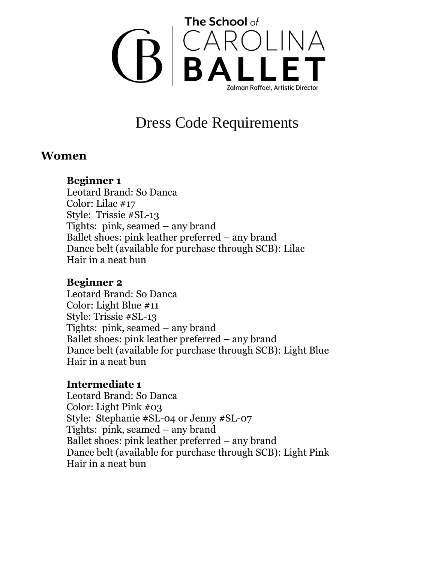

# Dress Code Requirements

# **Women**

# **Beginner 1**

Leotard Brand: So Danca Color: Lilac #17 Style: Trissie #SL-13 Tights: pink, seamed – any brand Ballet shoes: pink leather preferred – any brand Dance belt (available for purchase through SCB): Lilac Hair in a neat bun

#### **Beginner 2**

Leotard Brand: So Danca Color: Light Blue #11 Style: Trissie #SL-13 Tights: pink, seamed – any brand Ballet shoes: pink leather preferred – any brand Dance belt (available for purchase through SCB): Light Blue Hair in a neat bun

# **Intermediate 1**

Leotard Brand: So Danca Color: Light Pink #03 Style: Stephanie #SL-04 or Jenny #SL-07 Tights: pink, seamed – any brand Ballet shoes: pink leather preferred – any brand Dance belt (available for purchase through SCB): Light Pink Hair in a neat bun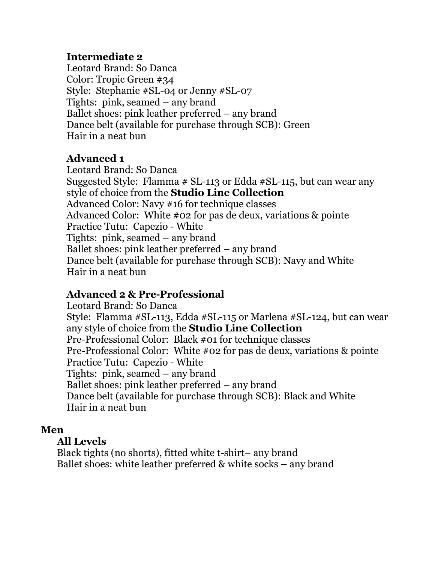# **Intermediate 2**

Leotard Brand: So Danca Color: Tropic Green #34 Style: Stephanie #SL-04 or Jenny #SL-07 Tights: pink, seamed – any brand Ballet shoes: pink leather preferred – any brand Dance belt (available for purchase through SCB): Green Hair in a neat bun

# **Advanced 1**

Leotard Brand: So Danca Suggested Style: Flamma # SL-113 or Edda #SL-115, but can wear any style of choice from the **Studio Line Collection** Advanced Color: Navy #16 for technique classes Advanced Color: White #02 for pas de deux, variations & pointe Practice Tutu: Capezio - White Tights: pink, seamed – any brand Ballet shoes: pink leather preferred – any brand Dance belt (available for purchase through SCB): Navy and White Hair in a neat bun

# **Advanced 2 & Pre-Professional**

Leotard Brand: So Danca Style: Flamma #SL-113, Edda #SL-115 or Marlena #SL-124, but can wear any style of choice from the **Studio Line Collection** Pre-Professional Color: Black #01 for technique classes Pre-Professional Color: White #02 for pas de deux, variations & pointe Practice Tutu: Capezio - White Tights: pink, seamed – any brand Ballet shoes: pink leather preferred – any brand Dance belt (available for purchase through SCB): Black and White Hair in a neat bun

# **Men**

# **All Levels**

Black tights (no shorts), fitted white t-shirt– any brand Ballet shoes: white leather preferred & white socks – any brand